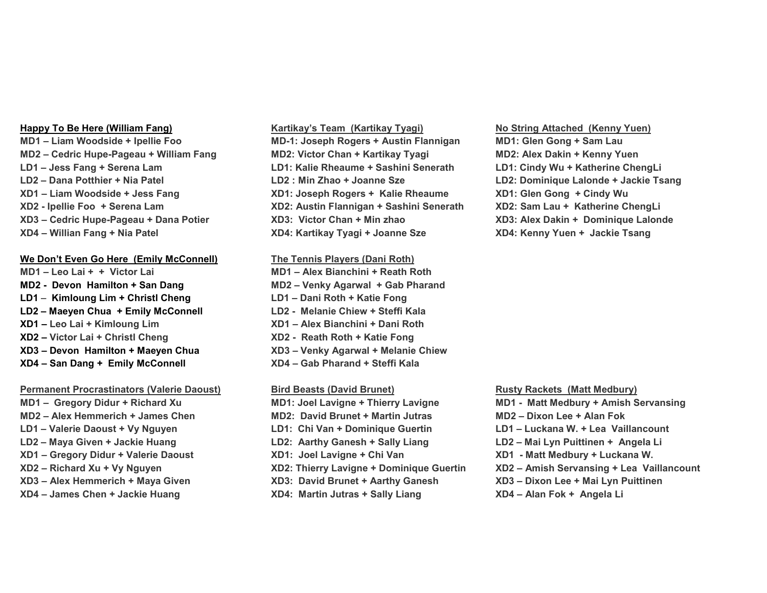**MD2 – Cedric Hupe-Pageau + William Fang MD2: Victor Chan + Kartikay Tyagi MD2: Alex Dakin + Kenny Yuen LD1 – Jess Fang + Serena Lam LD1: Kalie Rheaume + Sashini Senerath LD1: Cindy Wu + Katherine ChengLi LD2 – Dana Potthier + Nia Patel LD2 : Min Zhao + Joanne Sze LD2: Dominique Lalonde + Jackie Tsang XD1 – Liam Woodside + Jess Fang XD1: Joseph Rogers + Kalie Rheaume XD1: Glen Gong + Cindy Wu XD2 - Ipellie Foo + Serena Lam XD2: Austin Flannigan + Sashini Senerath XD2: Sam Lau + Katherine ChengLi XD3 – Cedric Hupe-Pageau + Dana Potier XD3: Victor Chan + Min zhao XD3: Alex Dakin + Dominique Lalonde XD4 – Willian Fang + Nia Patel XD4: Kartikay Tyagi + Joanne Sze XD4: Kenny Yuen + Jackie Tsang**

## **We Don't Even Go Here (Emily McConnell) The Tennis Players (Dani Roth)**

**MD1 – Leo Lai + + Victor Lai MD1 – Alex Bianchini + Reath Roth MD2 - Devon Hamilton + San Dang MD2 – Venky Agarwal + Gab Pharand LD1** – **Kimloung Lim + Christl Cheng LD1 – Dani Roth + Katie Fong LD2 – Maeyen Chua + Emily McConnell LD2 - Melanie Chiew + Steffi Kala XD1 – Leo Lai + Kimloung Lim XD1 – Alex Bianchini + Dani Roth XD2 – Victor Lai + Christl Cheng XD2 - Reath Roth + Katie Fong XD3 – Devon Hamilton + Maeyen Chua XD3 – Venky Agarwal + Melanie Chiew XD4 – San Dang + Emily McConnell XD4 – Gab Pharand + Steffi Kala**

# **Permanent Procrastinators (Valerie Daoust) <b>Bird Beasts (David Brunet) Rusty Rackets (Matt Medbury) Rusty Rackets** (Matt Medbury)

# **Happy To Be Here (William Fang) Kartikay's Team (Kartikay Tyagi) No String Attached (Kenny Yuen) MD1 – Liam Woodside + Ipellie Foo MD-1: Joseph Rogers + Austin Flannigan MD1: Glen Gong + Sam Lau**

**MD1 – Gregory Didur + Richard Xu MD1: Joel Lavigne + Thierry Lavigne MD1 - Matt Medbury + Amish Servansing MD2 – Alex Hemmerich + James Chen MD2: David Brunet + Martin Jutras MD2 – Dixon Lee + Alan Fok LD1 – Valerie Daoust + Vy Nguyen LD1: Chi Van + Dominique Guertin LD1 – Luckana W. + Lea Vaillancount LD2 – Maya Given + Jackie Huang LD2: Aarthy Ganesh + Sally Liang LD2 – Mai Lyn Puittinen + Angela Li XD1 – Gregory Didur + Valerie Daoust XD1: Joel Lavigne + Chi Van XD1 - Matt Medbury + Luckana W. XD2 – Richard Xu + Vy Nguyen XD2: Thierry Lavigne + Dominique Guertin XD2 – Amish Servansing + Lea Vaillancount XD3 – Alex Hemmerich + Maya Given XD3: David Brunet + Aarthy Ganesh XD3 – Dixon Lee + Mai Lyn Puittinen XD4 – James Chen + Jackie Huang XD4: Martin Jutras + Sally Liang XD4 – Alan Fok + Angela Li**

- 
- 
- 
- 
- 
- 
- 
-